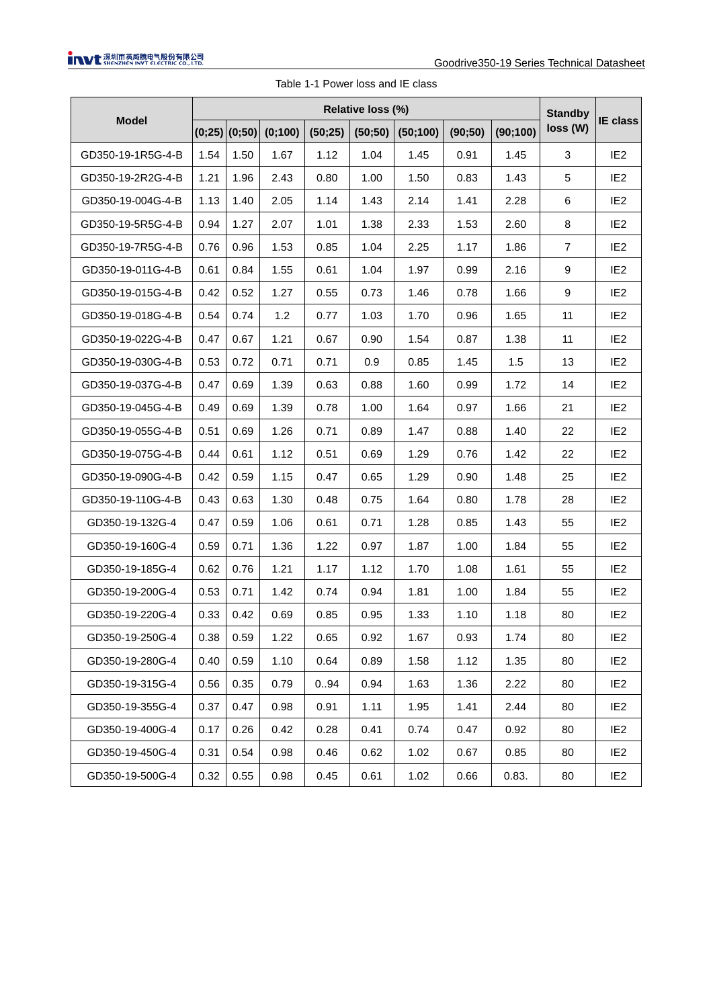| <b>Model</b>      | Relative loss (%) |                   |         |         |         |          |         |          |                |                 |
|-------------------|-------------------|-------------------|---------|---------|---------|----------|---------|----------|----------------|-----------------|
|                   |                   | $(0;25)$ $(0;50)$ | (0;100) | (50;25) | (50;50) | (50;100) | (90;50) | (90;100) | loss (W)       | <b>IE</b> class |
| GD350-19-1R5G-4-B | 1.54              | 1.50              | 1.67    | 1.12    | 1.04    | 1.45     | 0.91    | 1.45     | 3              | IE <sub>2</sub> |
| GD350-19-2R2G-4-B | 1.21              | 1.96              | 2.43    | 0.80    | 1.00    | 1.50     | 0.83    | 1.43     | 5              | IE <sub>2</sub> |
| GD350-19-004G-4-B | 1.13              | 1.40              | 2.05    | 1.14    | 1.43    | 2.14     | 1.41    | 2.28     | 6              | IE <sub>2</sub> |
| GD350-19-5R5G-4-B | 0.94              | 1.27              | 2.07    | 1.01    | 1.38    | 2.33     | 1.53    | 2.60     | 8              | IE <sub>2</sub> |
| GD350-19-7R5G-4-B | 0.76              | 0.96              | 1.53    | 0.85    | 1.04    | 2.25     | 1.17    | 1.86     | $\overline{7}$ | IE <sub>2</sub> |
| GD350-19-011G-4-B | 0.61              | 0.84              | 1.55    | 0.61    | 1.04    | 1.97     | 0.99    | 2.16     | 9              | IE <sub>2</sub> |
| GD350-19-015G-4-B | 0.42              | 0.52              | 1.27    | 0.55    | 0.73    | 1.46     | 0.78    | 1.66     | 9              | IE <sub>2</sub> |
| GD350-19-018G-4-B | 0.54              | 0.74              | 1.2     | 0.77    | 1.03    | 1.70     | 0.96    | 1.65     | 11             | IE <sub>2</sub> |
| GD350-19-022G-4-B | 0.47              | 0.67              | 1.21    | 0.67    | 0.90    | 1.54     | 0.87    | 1.38     | 11             | IE <sub>2</sub> |
| GD350-19-030G-4-B | 0.53              | 0.72              | 0.71    | 0.71    | 0.9     | 0.85     | 1.45    | 1.5      | 13             | IE <sub>2</sub> |
| GD350-19-037G-4-B | 0.47              | 0.69              | 1.39    | 0.63    | 0.88    | 1.60     | 0.99    | 1.72     | 14             | IE <sub>2</sub> |
| GD350-19-045G-4-B | 0.49              | 0.69              | 1.39    | 0.78    | 1.00    | 1.64     | 0.97    | 1.66     | 21             | IE <sub>2</sub> |
| GD350-19-055G-4-B | 0.51              | 0.69              | 1.26    | 0.71    | 0.89    | 1.47     | 0.88    | 1.40     | 22             | IE <sub>2</sub> |
| GD350-19-075G-4-B | 0.44              | 0.61              | 1.12    | 0.51    | 0.69    | 1.29     | 0.76    | 1.42     | 22             | IE <sub>2</sub> |
| GD350-19-090G-4-B | 0.42              | 0.59              | 1.15    | 0.47    | 0.65    | 1.29     | 0.90    | 1.48     | 25             | IE <sub>2</sub> |
| GD350-19-110G-4-B | 0.43              | 0.63              | 1.30    | 0.48    | 0.75    | 1.64     | 0.80    | 1.78     | 28             | IE <sub>2</sub> |
| GD350-19-132G-4   | 0.47              | 0.59              | 1.06    | 0.61    | 0.71    | 1.28     | 0.85    | 1.43     | 55             | IE <sub>2</sub> |
| GD350-19-160G-4   | 0.59              | 0.71              | 1.36    | 1.22    | 0.97    | 1.87     | 1.00    | 1.84     | 55             | IE <sub>2</sub> |
| GD350-19-185G-4   | 0.62              | 0.76              | 1.21    | 1.17    | 1.12    | 1.70     | 1.08    | 1.61     | 55             | IE <sub>2</sub> |
| GD350-19-200G-4   | 0.53              | 0.71              | 1.42    | 0.74    | 0.94    | 1.81     | 1.00    | 1.84     | 55             | IE <sub>2</sub> |
| GD350-19-220G-4   | 0.33              | 0.42              | 0.69    | 0.85    | 0.95    | 1.33     | 1.10    | 1.18     | 80             | IE <sub>2</sub> |
| GD350-19-250G-4   | 0.38              | 0.59              | 1.22    | 0.65    | 0.92    | 1.67     | 0.93    | 1.74     | 80             | IE <sub>2</sub> |
| GD350-19-280G-4   | 0.40              | 0.59              | 1.10    | 0.64    | 0.89    | 1.58     | 1.12    | 1.35     | 80             | IE <sub>2</sub> |
| GD350-19-315G-4   | 0.56              | 0.35              | 0.79    | 0.94    | 0.94    | 1.63     | 1.36    | 2.22     | 80             | IE <sub>2</sub> |
| GD350-19-355G-4   | 0.37              | 0.47              | 0.98    | 0.91    | 1.11    | 1.95     | 1.41    | 2.44     | 80             | IE <sub>2</sub> |
| GD350-19-400G-4   | 0.17              | 0.26              | 0.42    | 0.28    | 0.41    | 0.74     | 0.47    | 0.92     | 80             | IE <sub>2</sub> |
| GD350-19-450G-4   | 0.31              | 0.54              | 0.98    | 0.46    | 0.62    | 1.02     | 0.67    | 0.85     | 80             | IE <sub>2</sub> |
| GD350-19-500G-4   | 0.32              | 0.55              | 0.98    | 0.45    | 0.61    | 1.02     | 0.66    | 0.83.    | 80             | IE <sub>2</sub> |

Table 1-1 Power loss and IE class